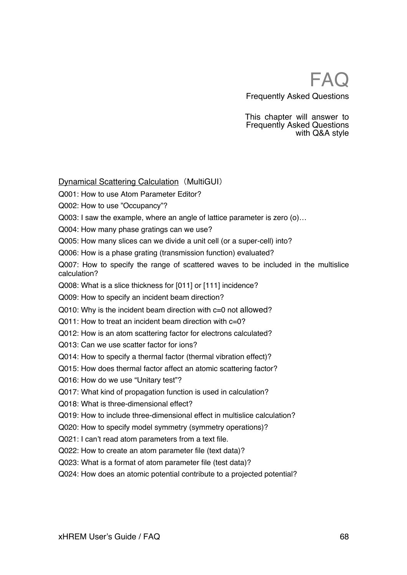This chapter will answer to Frequently Asked Questions with Q&A style

## Dynamical Scattering Calculation (MultiGUI)

Q001: How to use Atom Parameter Editor?

Q002: How to use "Occupancy"?

Q003: I saw the example, where an angle of lattice parameter is zero (o)…

Q004: How many phase gratings can we use?

Q005: How many slices can we divide a unit cell (or a super-cell) into?

Q006: How is a phase grating (transmission function) evaluated?

Q007: How to specify the range of scattered waves to be included in the multislice calculation?

Q008: What is a slice thickness for [011] or [111] incidence?

Q009: How to specify an incident beam direction?

Q010: Why is the incident beam direction with c=0 not allowed?

Q011: How to treat an incident beam direction with c=0?

Q012: How is an atom scattering factor for electrons calculated?

Q013: Can we use scatter factor for ions?

Q014: How to specify a thermal factor (thermal vibration effect)?

Q015: How does thermal factor affect an atomic scattering factor?

Q016: How do we use "Unitary test"?

Q017: What kind of propagation function is used in calculation?

Q018: What is three-dimensional effect?

Q019: How to include three-dimensional effect in multislice calculation?

Q020: How to specify model symmetry (symmetry operations)?

Q021: I can't read atom parameters from a text file.

Q022: How to create an atom parameter file (text data)?

Q023: What is a format of atom parameter file (test data)?

Q024: How does an atomic potential contribute to a projected potential?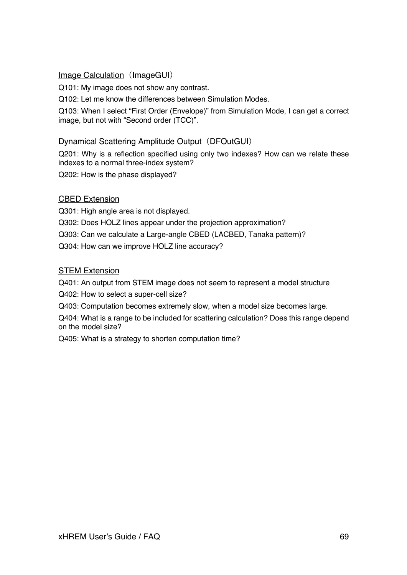# Image Calculation (ImageGUI)

Q101: My image does not show any contrast.

Q102: Let me know the differences between Simulation Modes.

Q103: When I select "First Order (Envelope)" from Simulation Mode, I can get a correct image, but not with "Second order (TCC)".

# Dynamical Scattering Amplitude Output (DFOutGUI)

Q201: Why is a reflection specified using only two indexes? How can we relate these indexes to a normal three-index system?

Q202: How is the phase displayed?

## CBED Extension

Q301: High angle area is not displayed. Q302: Does HOLZ lines appear under the projection approximation? Q303: Can we calculate a Large-angle CBED (LACBED, Tanaka pattern)? Q304: How can we improve HOLZ line accuracy?

### STEM Extension

Q401: An output from STEM image does not seem to represent a model structure

Q402: How to select a super-cell size?

Q403: Computation becomes extremely slow, when a model size becomes large.

Q404: What is a range to be included for scattering calculation? Does this range depend on the model size?

Q405: What is a strategy to shorten computation time?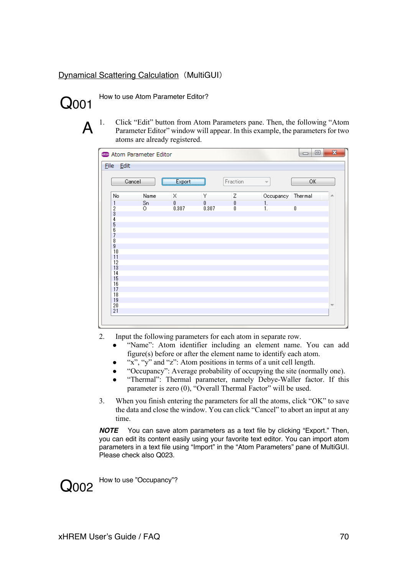# Dynamical Scattering Calculation (MultiGUI)



How to use Atom Parameter Editor?

 $A<sup>1.</sup>$  Click "Edit" button from Atom Parameters pane. Then, the following "Atom Parameter Editor" window will appear. In this example, the parameters for two atoms are already registered.

| <b>CED</b> Atom Parameter Editor |         |        |                                               |          |                          | ▣<br>$\Box$ | $\mathbf{x}$ |
|----------------------------------|---------|--------|-----------------------------------------------|----------|--------------------------|-------------|--------------|
| File Edit                        |         |        |                                               |          |                          |             |              |
|                                  | Cancel  | Export |                                               | Fraction | $\overline{\mathcal{M}}$ | ОК          |              |
| No                               | Name    | Χ      | Υ                                             | Ζ        | Occupancy Thermal        |             |              |
| 1                                | Sn      | 0      | $\begin{smallmatrix}0\0.307\end{smallmatrix}$ | 0        | 1.                       |             |              |
| $\frac{2}{3}$                    | $\circ$ | 0.307  |                                               | 0        | 1.                       | o           |              |
|                                  |         |        |                                               |          |                          |             |              |
| 4                                |         |        |                                               |          |                          |             |              |
| $\frac{5}{6}$                    |         |        |                                               |          |                          |             |              |
| 7                                |         |        |                                               |          |                          |             |              |
| 8                                |         |        |                                               |          |                          |             |              |
| 9                                |         |        |                                               |          |                          |             |              |
| 10                               |         |        |                                               |          |                          |             |              |
| 11                               |         |        |                                               |          |                          |             |              |
| 12                               |         |        |                                               |          |                          |             |              |
| 13                               |         |        |                                               |          |                          |             |              |
| 14<br>15                         |         |        |                                               |          |                          |             |              |
| 16                               |         |        |                                               |          |                          |             |              |
| 17                               |         |        |                                               |          |                          |             |              |
| 18                               |         |        |                                               |          |                          |             |              |
| 19                               |         |        |                                               |          |                          |             |              |
| $\overline{20}$                  |         |        |                                               |          |                          |             |              |
| $\overline{21}$                  |         |        |                                               |          |                          |             |              |
|                                  |         |        |                                               |          |                          |             |              |

- 2. Input the following parameters for each atom in separate row.
	- "Name": Atom identifier including an element name. You can add figure(s) before or after the element name to identify each atom.
	- "x", "y" and "z": Atom positions in terms of a unit cell length.
	- "Occupancy": Average probability of occupying the site (normally one).
		- "Thermal": Thermal parameter, namely Debye-Waller factor. If this parameter is zero (0), "Overall Thermal Factor" will be used.
- 3. When you finish entering the parameters for all the atoms, click "OK" to save the data and close the window. You can click "Cancel" to abort an input at any time.

*NOTE* You can save atom parameters as a text file by clicking "Export." Then, you can edit its content easily using your favorite text editor. You can import atom parameters in a text file using "Import" in the "Atom Parameters" pane of MultiGUI. Please check also Q023.



How to use "Occupancy"?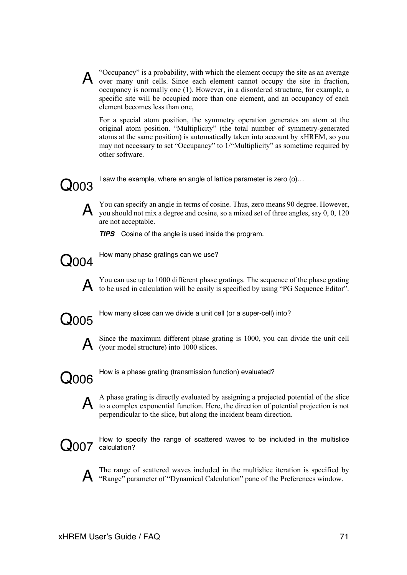

A "Occupancy" is a probability, with which the element occupy the site as an average over many unit cells. Since each element cannot occupy the site in fraction, occupancy is normally one (1). However, in a disordered structure, for example, a specific site will be occupied more than one element, and an occupancy of each element becomes less than one,

For a special atom position, the symmetry operation generates an atom at the original atom position. "Multiplicity" (the total number of symmetry-generated atoms at the same position) is automatically taken into account by xHREM, so you may not necessary to set "Occupancy" to 1/"Multiplicity" as sometime required by other software.

I saw the example, where an angle of lattice parameter is zero (o)…



A You can specify an angle in terms of cosine. Thus, zero means 90 degree. However, you should not mix a degree and cosine, so a mixed set of three angles, say 0, 0, 120 are not acceptable.

*TIPS* Cosine of the angle is used inside the program.



**Q004** How many phase gratings can we use?

A You can use up to 1000 different phase gratings. The sequence of the phase grating to be used in calculation will be easily is specified by using "PG Sequence Editor".



How many slices can we divide a unit cell (or a super-cell) into?<br> **Q005** 



Since the maximum different phase grating is 1000, you can divide the unit cell  $\mathbf{A}$  (your model structure) into 1000 slices.



How is a phase grating (transmission function) evaluated?



A A phase grating is directly evaluated by assigning a projected potential of the slice to a complex exponential function. Here, the direction of potential projection is not perpendicular to the slice, but along the incident beam direction.



Q007 calculation? How to specify the range of scattered waves to be included in the multislice



A The range of scattered waves included in the multislice iteration is specified by "Range" parameter of "Dynamical Calculation" pane of the Preferences window.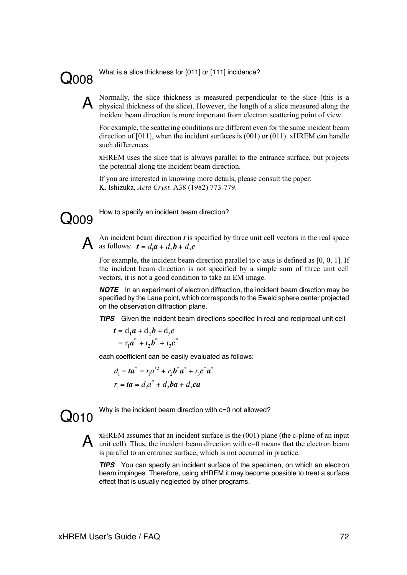COOO8 What is a slice thickness for [011] or [111] incidence?

A Normally, the slice thickness is measured perpendicular to the slice (this is a physical thickness of the slice). However, the length of a slice measured along the incident beam direction is more important from electron scattering point of view.

For example, the scattering conditions are different even for the same incident beam direction of  $[011]$ , when the incident surfaces is  $(001)$  or  $(011)$ . xHREM can handle such differences.

xHREM uses the slice that is always parallel to the entrance surface, but projects the potential along the incident beam direction.

If you are interested in knowing more details, please consult the paper: K. Ishizuka, *Acta Cryst.* A38 (1982) 773-779.



G<sub>009</sub> How to specify an incident beam direction?

An incident beam direction *t* is specified by three unit cell vectors in the real space as follows:  $t = d_1 a + d_2 b + d_3 c$ 

For example, the incident beam direction parallel to c-axis is defined as  $[0, 0, 1]$ . If the incident beam direction is not specified by a simple sum of three unit cell vectors, it is not a good condition to take an EM image.

*NOTE* In an experiment of electron diffraction, the incident beam direction may be specified by the Laue point, which corresponds to the Ewald sphere center projected on the observation diffraction plane.  $\overline{a}$ 

*TIPS* Given the incident beam directions specified in real and reciprocal unit cell

$$
t = d_1 a + d_2 b + d_3 c
$$
  
=  $\mathbf{r}_1 a^* + \mathbf{r}_2 b^* + \mathbf{r}_3 c^*$ 

each coefficient can be easily evaluated as follows:

$$
d_1 = ta^* = r_1 a^{*2} + r_2 b^* a^* + r_3 c^* a^*
$$
  

$$
r_1 = ta = d_1 a^2 + d_2 ba + d_3 ca
$$

 $O<sub>010</sub>$ 

Why is the incident beam direction with  $c=0$  not allowed?

**A** xHREM assumes that an incident surface is the (001) plane (the c-plane of an input unit cell). Thus, the incident beam direction with  $c=0$  means that the electron beam is parallel to an entrance surface, which is not occurred in practice.

*TIPS* You can specify an incident surface of the specimen, on which an electron beam impinges. Therefore, using xHREM it may become possible to treat a surface effect that is usually neglected by other programs.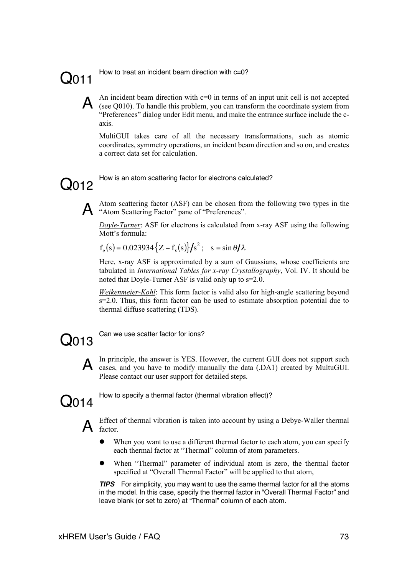# $Q<sub>011</sub>$

How to treat an incident beam direction with c=0?

A An incident beam direction with  $c=0$  in terms of an input unit cell is not accepted (see Q010). To handle this problem, you can transform the coordinate system from "Preferences" dialog under Edit menu, and make the entrance surface include the caxis.

MultiGUI takes care of all the necessary transformations, such as atomic coordinates, symmetry operations, an incident beam direction and so on, and creates a correct data set for calculation.



Q012 How is an atom scattering factor for electrons calculated?

A Atom scattering factor (ASF) can be chosen from the following two types in the "Atom Scattering Factor" pane of "Preferences".

*Doyle-Turner*: ASF for electrons is calculated from x-ray ASF using the following Mott's formula:

 $f_e(s) = 0.023934\{Z - f_x(s)\} / s^2$ ;  $s = \sin \theta / \lambda$ 

Here, x-ray ASF is approximated by a sum of Gaussians, whose coefficients are tabulated in *International Tables for x-ray Crystallography*, Vol. IV. It should be noted that Doyle-Turner ASF is valid only up to s=2.0.

*Weikenmeier-Kohl*: This form factor is valid also for high-angle scattering beyond  $s=2.0$ . Thus, this form factor can be used to estimate absorption potential due to thermal diffuse scattering (TDS).

 $O<sub>013</sub>$ 

Can we use scatter factor for ions?

A In principle, the answer is YES. However, the current GUI does not support such cases, and you have to modify manually the data (.DA1) created by MultuGUI. Please contact our user support for detailed steps.



How to specify a thermal factor (thermal vibration effect)?

A Effect of thermal vibration is taken into account by using a Debye-Waller thermal  $A$  factor.

- When you want to use a different thermal factor to each atom, you can specify each thermal factor at "Thermal" column of atom parameters.
- l When "Thermal" parameter of individual atom is zero, the thermal factor specified at "Overall Thermal Factor" will be applied to that atom,

*TIPS* For simplicity, you may want to use the same thermal factor for all the atoms in the model. In this case, specify the thermal factor in "Overall Thermal Factor" and leave blank (or set to zero) at "Thermal" column of each atom.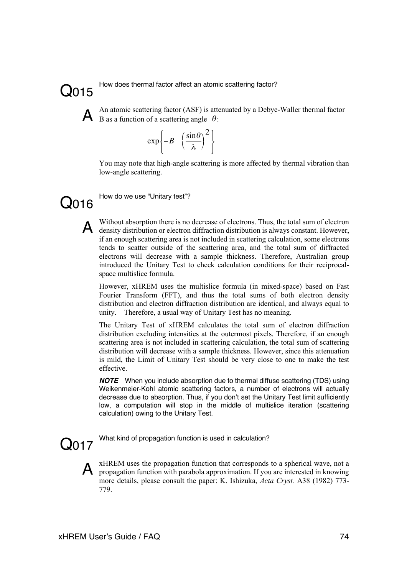

How does thermal factor affect an atomic scattering factor?<br>
Q015



A An atomic scattering factor (ASF) is attenuated by a Debye-Waller thermal factor B as a function of a scattering angle  $\theta$ :

$$
\exp\left\{-B \left(\frac{\sin\theta}{\lambda}\right)^2\right\}
$$

You may note that high-angle scattering is more affected by thermal vibration than low-angle scattering.



O016 How do we use "Unitary test"?

A Without absorption there is no decrease of electrons. Thus, the total sum of electron density distribution or electron diffraction distribution is always constant. However, if an enough scattering area is not included in scattering calculation, some electrons tends to scatter outside of the scattering area, and the total sum of diffracted electrons will decrease with a sample thickness. Therefore, Australian group introduced the Unitary Test to check calculation conditions for their reciprocalspace multislice formula.

However, xHREM uses the multislice formula (in mixed-space) based on Fast Fourier Transform (FFT), and thus the total sums of both electron density distribution and electron diffraction distribution are identical, and always equal to unity. Therefore, a usual way of Unitary Test has no meaning.

The Unitary Test of xHREM calculates the total sum of electron diffraction distribution excluding intensities at the outermost pixels. Therefore, if an enough scattering area is not included in scattering calculation, the total sum of scattering distribution will decrease with a sample thickness. However, since this attenuation is mild, the Limit of Unitary Test should be very close to one to make the test effective.

*NOTE* When you include absorption due to thermal diffuse scattering (TDS) using Weikenmeier-Kohl atomic scattering factors, a number of electrons will actually decrease due to absorption. Thus, if you don't set the Unitary Test limit sufficiently low, a computation will stop in the middle of multislice iteration (scattering calculation) owing to the Unitary Test.

O017 What kind of propagation function is used in calculation?



A xHREM uses the propagation function that corresponds to a spherical wave, not a propagation function with parabola approximation. If you are interested in knowing more details, please consult the paper: K. Ishizuka, *Acta Cryst.* A38 (1982) 773- 779.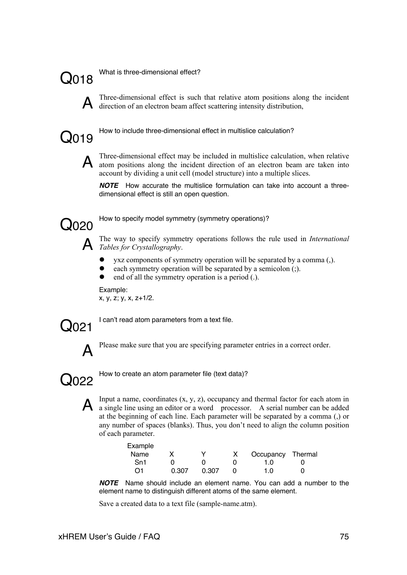Q018

What is three-dimensional effect?



A Three-dimensional effect is such that relative atom positions along the incident direction of an electron beam affect scattering intensity distribution,



How to include three-dimensional effect in multislice calculation?



A Three-dimensional effect may be included in multislice calculation, when relative atom positions along the incident direction of an electron beam are taken into account by dividing a unit cell (model structure) into a multiple slices.

*NOTE* How accurate the multislice formulation can take into account a threedimensional effect is still an open question.



G020 How to specify model symmetry (symmetry operations)?

A The way to specify symmetry operations follows the rule used in *International Tables for Crystallography*.

- $\bullet$  yxz components of symmetry operation will be separated by a comma (,).
- each symmetry operation will be separated by a semicolon (;).
- end of all the symmetry operation is a period (.).

Example: x, y, z; y, x, z+1/2.



Concept I can't read atom parameters from a text file.



Please make sure that you are specifying parameter entries in a correct order.



How to create an atom parameter file (text data)?<br> **Q022** 

A Input a name, coordinates  $(x, y, z)$ , occupancy and thermal factor for each atom in a single line using an editor or a word processor. A serial number can be added at the beginning of each line. Each parameter will be separated by a comma (,) or any number of spaces (blanks). Thus, you don't need to align the column position of each parameter.

| Example |       |       |                   |  |
|---------|-------|-------|-------------------|--|
| Name    |       | v     | Occupancy Thermal |  |
| Sn1     |       |       | 1 O               |  |
| ∩1      | 0.307 | 0.307 | 1 በ               |  |

*NOTE* Name should include an element name. You can add a number to the element name to distinguish different atoms of the same element.

Save a created data to a text file (sample-name.atm).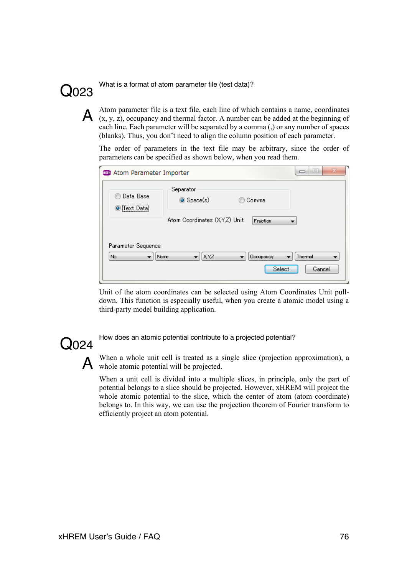

Q024

What is a format of atom parameter file (test data)?<br> **Q023** 

A  $\alpha$  Atom parameter file is a text file, each line of which contains a name, coordinates  $(x, y, z)$ , occupancy and thermal factor. A number can be added at the beginning of each line. Each parameter will be separated by a comma (,) or any number of spaces (blanks). Thus, you don't need to align the column position of each parameter.

The order of parameters in the text file may be arbitrary, since the order of parameters can be specified as shown below, when you read them.

| x<br>e<br><b>COD</b> Atom Parameter Importer                                              |                               |                 |        |  |  |  |  |
|-------------------------------------------------------------------------------------------|-------------------------------|-----------------|--------|--|--|--|--|
| Data Base<br>,,,,,,,,,,,,,,,,,,,,,,,,,,,,<br>Text Data<br>۰                               | Separator<br>Space(s)         | Comma           |        |  |  |  |  |
|                                                                                           | Atom Coordinates (XY,Z) Unit: | <b>Fraction</b> |        |  |  |  |  |
| Parameter Sequence:<br>$x_{x}$<br>Thermal<br>No.<br>Name<br>Occupancy<br>۰<br>۰<br>▼<br>۰ |                               |                 |        |  |  |  |  |
|                                                                                           |                               | Select          | Cancel |  |  |  |  |

Unit of the atom coordinates can be selected using Atom Coordinates Unit pulldown. This function is especially useful, when you create a atomic model using a third-party model building application.

How does an atomic potential contribute to a projected potential?

A When a whole unit cell is treated as a single slice (projection approximation), a whole atomic potential will be projected.

When a unit cell is divided into a multiple slices, in principle, only the part of potential belongs to a slice should be projected. However, xHREM will project the whole atomic potential to the slice, which the center of atom (atom coordinate) belongs to. In this way, we can use the projection theorem of Fourier transform to efficiently project an atom potential.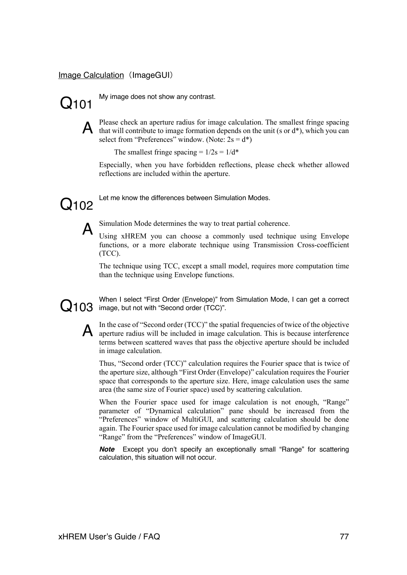### Image Calculation (ImageGUI)



Q101 My image does not show any contrast.



A Please check an aperture radius for image calculation. The smallest fringe spacing that will contribute to image formation depends on the unit (s or  $d^*$ ), which you can select from "Preferences" window. (Note:  $2s = d^*$ )

The smallest fringe spacing =  $1/2s = 1/d^*$ 

Especially, when you have forbidden reflections, please check whether allowed reflections are included within the aperture.

 $Q<sub>102</sub>$ 

Let me know the differences between Simulation Modes.



A Simulation Mode determines the way to treat partial coherence.<br>Using xHREM you can choose a commonly used technique using Envelope functions, or a more elaborate technique using Transmission Cross-coefficient (TCC).

The technique using TCC, except a small model, requires more computation time than the technique using Envelope functions.

Q103 When I select First Order (Envelope) from When I select "First Order (Envelope)" from Simulation Mode, I can get a correct



A In the case of "Second order (TCC)" the spatial frequencies of twice of the objective aperture radius will be included in image calculation. This is because interference terms between scattered waves that pass the objective aperture should be included in image calculation.

Thus, "Second order (TCC)" calculation requires the Fourier space that is twice of the aperture size, although "First Order (Envelope)" calculation requires the Fourier space that corresponds to the aperture size. Here, image calculation uses the same area (the same size of Fourier space) used by scattering calculation.

When the Fourier space used for image calculation is not enough, "Range" parameter of "Dynamical calculation" pane should be increased from the "Preferences" window of MultiGUI, and scattering calculation should be done again. The Fourier space used for image calculation cannot be modified by changing "Range" from the "Preferences" window of ImageGUI.

*Note* Except you don't specify an exceptionally small "Range" for scattering calculation, this situation will not occur.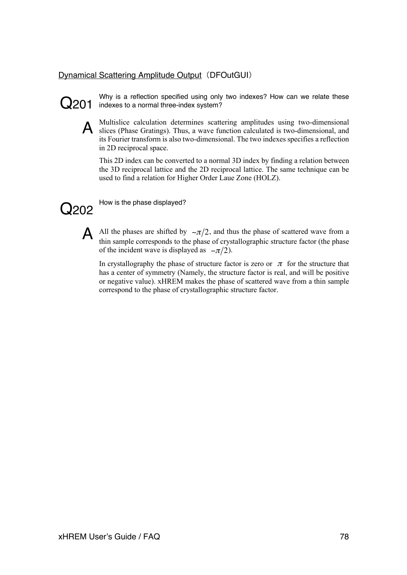# Dynamical Scattering Amplitude Output (DFOutGUI)



Why is a reflection specified using only two indexes? How can we relate these<br>Q201 indexes to a normal three-index system?



A Multislice calculation determines scattering amplitudes using two-dimensional slices (Phase Gratings). Thus, a wave function calculated is two-dimensional, and its Fourier transform is also two-dimensional. The two indexes specifies a reflection in 2D reciprocal space.

This 2D index can be converted to a normal 3D index by finding a relation between the 3D reciprocal lattice and the 2D reciprocal lattice. The same technique can be used to find a relation for Higher Order Laue Zone (HOLZ).



Q202 How is the phase displayed?

A All the phases are shifted by  $-\pi/2$ , and thus the phase of scattered wave from a thin sample corresponds to the phase of crystallographic structure factor (the phase thin sample corresponds to the phase of crystallographic structure factor (the phase of the incident wave is displayed as  $-\pi/2$ ).

In crystallography the phase of structure factor is zero or  $\pi$  for the structure that has a center of symmetry (Namely, the structure factor is real, and will be positive has a center of symmetry (Namely, the structure factor is real, and will be positive or negative value). xHREM makes the phase of scattered wave from a thin sample correspond to the phase of crystallographic structure factor.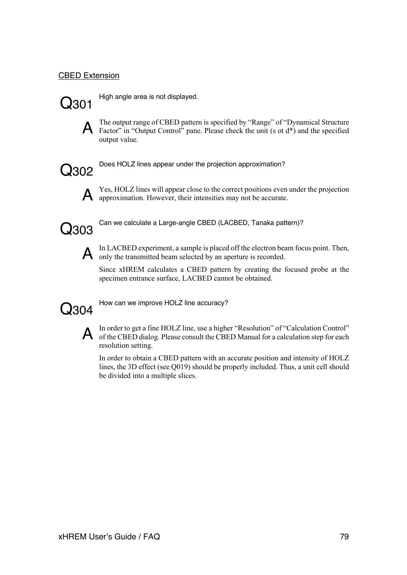# CBED Extension



High angle area is not displayed.



A The output range of CBED pattern is specified by "Range" of "Dynamical Structure Factor" in "Output Control" pane. Please check the unit (s ot d\*) and the specified output value.



Q302 Does HOLZ lines appear under the projection approximation?



A Yes, HOLZ lines will appear close to the correct positions even under the projection approximation. However, their intensities may not be accurate.



Can we calculate a Large-angle CBED (LACBED, Tanaka pattern)?



A In LACBED experiment, a sample is placed off the electron beam focus point. Then, only the transmitted beam selected by an aperture is recorded.

Since xHREM calculates a CBED pattern by creating the focused probe at the specimen entrance surface, LACBED cannot be obtained.



How can we improve HOLZ line accuracy?



A In order to get a fine HOLZ line, use a higher "Resolution" of "Calculation Control" of the CBED dialog. Please consult the CBED Manual for a calculation step for each resolution setting.

In order to obtain a CBED pattern with an accurate position and intensity of HOLZ lines, the 3D effect (see Q019) should be properly included. Thus, a unit cell should be divided into a multiple slices.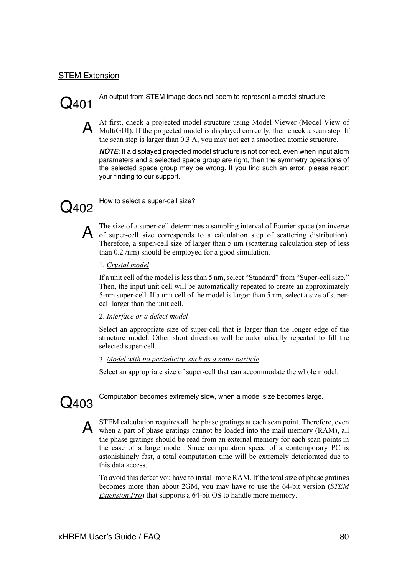### STEM Extension

An output from STEM image does not seem to represent a model structure.

A At first, check a projected model structure using Model Viewer (Model View of MultiGUI). If the projected model is displayed correctly, then check a scan step. If the scan step is larger than 0.3 A, you may not get a smoothed atomic structure.

*NOTE*: If a displayed projected model structure is not correct, even when input atom parameters and a selected space group are right, then the symmetry operations of the selected space group may be wrong. If you find such an error, please report your finding to our support.



 $\bigOmega_{402}$  How to select a super-cell size?

A The size of a super-cell determines a sampling interval of Fourier space (an inverse of scattering distribution). Therefore, a super-cell size of larger than 5 nm (scattering calculation step of less than 0.2 /nm) should be employed for a good simulation.

1. *Crystal model*

If a unit cell of the model is less than 5 nm, select "Standard" from "Super-cell size." Then, the input unit cell will be automatically repeated to create an approximately 5-nm super-cell. If a unit cell of the model is larger than 5 nm, select a size of supercell larger than the unit cell.

2. *Interface or a defect model*

Select an appropriate size of super-cell that is larger than the longer edge of the structure model. Other short direction will be automatically repeated to fill the selected super-cell.

3. *Model with no periodicity, such as a nano-particle*

Select an appropriate size of super-cell that can accommodate the whole model.



 $Q403$ <sup>Computation becomes extremely slow, when a model size becomes large.</sup>

A STEM calculation requires all the phase gratings at each scan point. Therefore, even when a part of phase gratings cannot be loaded into the mail memory (RAM), all the phase gratings should be read from an external memory for each scan points in the case of a large model. Since computation speed of a contemporary PC is astonishingly fast, a total computation time will be extremely deteriorated due to this data access.

To avoid this defect you have to install more RAM. If the total size of phase gratings becomes more than about 2GM, you may have to use the 64-bit version (*STEM Extension Pro*) that supports a 64-bit OS to handle more memory.